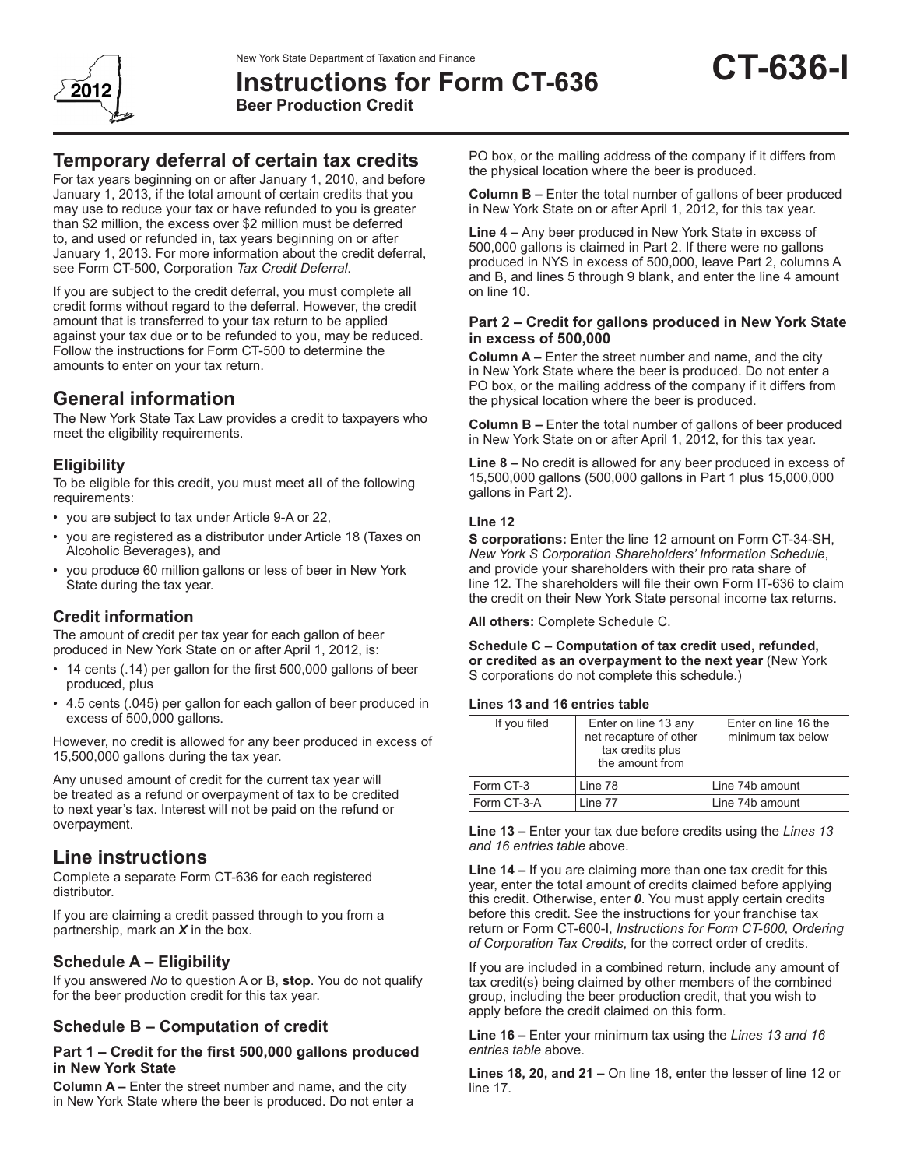

**Instructions for Form CT-636 Beer Production Credit**

# **Temporary deferral of certain tax credits**

For tax years beginning on or after January 1, 2010, and before January 1, 2013, if the total amount of certain credits that you may use to reduce your tax or have refunded to you is greater than \$2 million, the excess over \$2 million must be deferred to, and used or refunded in, tax years beginning on or after January 1, 2013. For more information about the credit deferral, see Form CT-500, Corporation *Tax Credit Deferral*.

If you are subject to the credit deferral, you must complete all credit forms without regard to the deferral. However, the credit amount that is transferred to your tax return to be applied against your tax due or to be refunded to you, may be reduced. Follow the instructions for Form CT-500 to determine the amounts to enter on your tax return.

## **General information**

The New York State Tax Law provides a credit to taxpayers who meet the eligibility requirements.

## **Eligibility**

To be eligible for this credit, you must meet **all** of the following requirements:

- • you are subject to tax under Article 9-A or 22,
- you are registered as a distributor under Article 18 (Taxes on Alcoholic Beverages), and
- you produce 60 million gallons or less of beer in New York State during the tax year.

## **Credit information**

The amount of credit per tax year for each gallon of beer produced in New York State on or after April 1, 2012, is:

- 14 cents (.14) per gallon for the first 500,000 gallons of beer produced, plus
- • 4.5 cents (.045) per gallon for each gallon of beer produced in excess of 500,000 gallons.

However, no credit is allowed for any beer produced in excess of 15,500,000 gallons during the tax year.

Any unused amount of credit for the current tax year will be treated as a refund or overpayment of tax to be credited to next year's tax. Interest will not be paid on the refund or overpayment.

## **Line instructions**

Complete a separate Form CT-636 for each registered distributor.

If you are claiming a credit passed through to you from a partnership, mark an *X* in the box.

## **Schedule A – Eligibility**

If you answered *No* to question A or B, **stop**. You do not qualify for the beer production credit for this tax year.

### **Schedule B – Computation of credit**

#### **Part 1 – Credit for the first 500,000 gallons produced in New York State**

**Column A –** Enter the street number and name, and the city in New York State where the beer is produced. Do not enter a

PO box, or the mailing address of the company if it differs from the physical location where the beer is produced.

**Column B –** Enter the total number of gallons of beer produced in New York State on or after April 1, 2012, for this tax year.

**Line 4 –** Any beer produced in New York State in excess of 500,000 gallons is claimed in Part 2. If there were no gallons produced in NYS in excess of 500,000, leave Part 2, columns A and B, and lines 5 through 9 blank, and enter the line 4 amount on line 10.

#### **Part 2 – Credit for gallons produced in New York State in excess of 500,000**

**Column A –** Enter the street number and name, and the city in New York State where the beer is produced. Do not enter a PO box, or the mailing address of the company if it differs from the physical location where the beer is produced.

**Column B –** Enter the total number of gallons of beer produced in New York State on or after April 1, 2012, for this tax year.

**Line 8 –** No credit is allowed for any beer produced in excess of 15,500,000 gallons (500,000 gallons in Part 1 plus 15,000,000 gallons in Part 2).

#### **Line 12**

**S corporations:** Enter the line 12 amount on Form CT-34-SH, *New York S Corporation Shareholders' Information Schedule*, and provide your shareholders with their pro rata share of line 12. The shareholders will file their own Form IT-636 to claim the credit on their New York State personal income tax returns.

**All others:** Complete Schedule C.

**Schedule C – Computation of tax credit used, refunded, or credited as an overpayment to the next year** (New York S corporations do not complete this schedule.)

#### **Lines 13 and 16 entries table**

| If you filed | Enter on line 13 any<br>net recapture of other<br>tax credits plus<br>the amount from | Enter on line 16 the<br>minimum tax below |
|--------------|---------------------------------------------------------------------------------------|-------------------------------------------|
| Form CT-3    | Line 78                                                                               | Line 74b amount                           |
| Form CT-3-A  | Line 77                                                                               | Line 74b amount                           |

**Line 13 –** Enter your tax due before credits using the *Lines 13 and 16 entries table* above.

**Line 14 –** If you are claiming more than one tax credit for this year, enter the total amount of credits claimed before applying this credit. Otherwise, enter *0*. You must apply certain credits before this credit. See the instructions for your franchise tax return or Form CT-600-I, *Instructions for Form CT-600, Ordering of Corporation Tax Credits*, for the correct order of credits.

If you are included in a combined return, include any amount of tax credit(s) being claimed by other members of the combined group, including the beer production credit, that you wish to apply before the credit claimed on this form.

**Line 16 –** Enter your minimum tax using the *Lines 13 and 16 entries table* above.

**Lines 18, 20, and 21 –** On line 18, enter the lesser of line 12 or line 17.